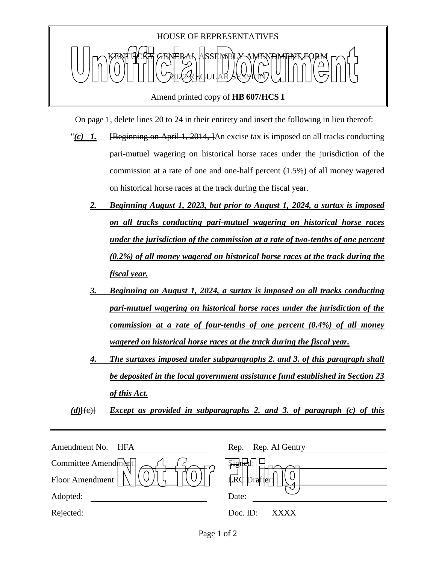

On page 1, delete lines 20 to 24 in their entirety and insert the following in lieu thereof:

- "(c) 1. [Beginning on April 1, 2014, ]An excise tax is imposed on all tracks conducting pari-mutuel wagering on historical horse races under the jurisdiction of the commission at a rate of one and one-half percent (1.5%) of all money wagered on historical horse races at the track during the fiscal year.
	- *2. Beginning August 1, 2023, but prior to August 1, 2024, a surtax is imposed on all tracks conducting pari-mutuel wagering on historical horse races under the jurisdiction of the commission at a rate of two-tenths of one percent (0.2%) of all money wagered on historical horse races at the track during the fiscal year.*
	- *3. Beginning on August 1, 2024, a surtax is imposed on all tracks conducting pari-mutuel wagering on historical horse races under the jurisdiction of the commission at a rate of four-tenths of one percent (0.4%) of all money wagered on historical horse races at the track during the fiscal year.*
	- *4. The surtaxes imposed under subparagraphs 2. and 3. of this paragraph shall be deposited in the local government assistance fund established in Section 23 of this Act.*

*(d)*[(c)] *Except as provided in subparagraphs 2. and 3. of paragraph (c) of this* 

| Amendment No.<br>HFA | Rep. Rep. Al Gentry |
|----------------------|---------------------|
| Committee Amendment  | جہز                 |
| Floor Amendment      | LRC<br>ralfter      |
| Adopted:             | Date:               |
| Rejected:            | Doc. ID:<br>XXXX    |
|                      |                     |